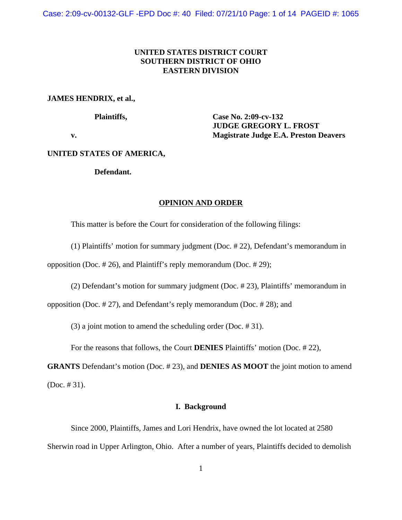Case: 2:09-cv-00132-GLF -EPD Doc #: 40 Filed: 07/21/10 Page: 1 of 14 PAGEID #: 1065

# **UNITED STATES DISTRICT COURT SOUTHERN DISTRICT OF OHIO EASTERN DIVISION**

# **JAMES HENDRIX, et al.,**

**Plaintiffs, Case No. 2:09-cv-132 JUDGE GREGORY L. FROST v. Magistrate Judge E.A. Preston Deavers**

# **UNITED STATES OF AMERICA,**

## **Defendant.**

# **OPINION AND ORDER**

This matter is before the Court for consideration of the following filings:

(1) Plaintiffs' motion for summary judgment (Doc. # 22), Defendant's memorandum in opposition (Doc. # 26), and Plaintiff's reply memorandum (Doc. # 29);

(2) Defendant's motion for summary judgment (Doc. # 23), Plaintiffs' memorandum in

opposition (Doc. # 27), and Defendant's reply memorandum (Doc. # 28); and

(3) a joint motion to amend the scheduling order (Doc. # 31).

For the reasons that follows, the Court **DENIES** Plaintiffs' motion (Doc. # 22),

**GRANTS** Defendant's motion (Doc. # 23), and **DENIES AS MOOT** the joint motion to amend (Doc. # 31).

## **I. Background**

Since 2000, Plaintiffs, James and Lori Hendrix, have owned the lot located at 2580 Sherwin road in Upper Arlington, Ohio. After a number of years, Plaintiffs decided to demolish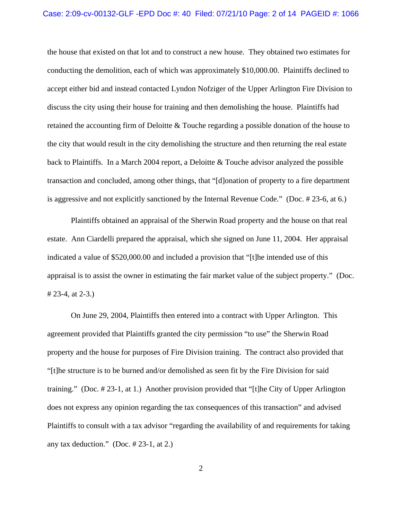### Case: 2:09-cv-00132-GLF -EPD Doc #: 40 Filed: 07/21/10 Page: 2 of 14 PAGEID #: 1066

the house that existed on that lot and to construct a new house. They obtained two estimates for conducting the demolition, each of which was approximately \$10,000.00. Plaintiffs declined to accept either bid and instead contacted Lyndon Nofziger of the Upper Arlington Fire Division to discuss the city using their house for training and then demolishing the house. Plaintiffs had retained the accounting firm of Deloitte & Touche regarding a possible donation of the house to the city that would result in the city demolishing the structure and then returning the real estate back to Plaintiffs. In a March 2004 report, a Deloitte & Touche advisor analyzed the possible transaction and concluded, among other things, that "[d]onation of property to a fire department is aggressive and not explicitly sanctioned by the Internal Revenue Code." (Doc. # 23-6, at 6.)

Plaintiffs obtained an appraisal of the Sherwin Road property and the house on that real estate. Ann Ciardelli prepared the appraisal, which she signed on June 11, 2004. Her appraisal indicated a value of \$520,000.00 and included a provision that "[t]he intended use of this appraisal is to assist the owner in estimating the fair market value of the subject property." (Doc. # 23-4, at 2-3.)

On June 29, 2004, Plaintiffs then entered into a contract with Upper Arlington. This agreement provided that Plaintiffs granted the city permission "to use" the Sherwin Road property and the house for purposes of Fire Division training. The contract also provided that "[t]he structure is to be burned and/or demolished as seen fit by the Fire Division for said training." (Doc. # 23-1, at 1.) Another provision provided that "[t]he City of Upper Arlington does not express any opinion regarding the tax consequences of this transaction" and advised Plaintiffs to consult with a tax advisor "regarding the availability of and requirements for taking any tax deduction." (Doc.  $\# 23-1$ , at 2.)

2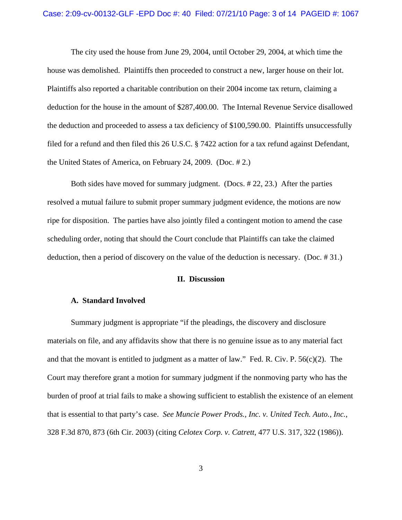### Case: 2:09-cv-00132-GLF -EPD Doc #: 40 Filed: 07/21/10 Page: 3 of 14 PAGEID #: 1067

The city used the house from June 29, 2004, until October 29, 2004, at which time the house was demolished. Plaintiffs then proceeded to construct a new, larger house on their lot. Plaintiffs also reported a charitable contribution on their 2004 income tax return, claiming a deduction for the house in the amount of \$287,400.00. The Internal Revenue Service disallowed the deduction and proceeded to assess a tax deficiency of \$100,590.00. Plaintiffs unsuccessfully filed for a refund and then filed this 26 U.S.C. § 7422 action for a tax refund against Defendant, the United States of America, on February 24, 2009. (Doc. # 2.)

Both sides have moved for summary judgment. (Docs. # 22, 23.) After the parties resolved a mutual failure to submit proper summary judgment evidence, the motions are now ripe for disposition. The parties have also jointly filed a contingent motion to amend the case scheduling order, noting that should the Court conclude that Plaintiffs can take the claimed deduction, then a period of discovery on the value of the deduction is necessary. (Doc. # 31.)

## **II. Discussion**

#### **A. Standard Involved**

Summary judgment is appropriate "if the pleadings, the discovery and disclosure materials on file, and any affidavits show that there is no genuine issue as to any material fact and that the movant is entitled to judgment as a matter of law." Fed. R. Civ. P. 56(c)(2). The Court may therefore grant a motion for summary judgment if the nonmoving party who has the burden of proof at trial fails to make a showing sufficient to establish the existence of an element that is essential to that party's case. *See Muncie Power Prods., Inc. v. United Tech. Auto., Inc.*, 328 F.3d 870, 873 (6th Cir. 2003) (citing *Celotex Corp. v. Catrett*, 477 U.S. 317, 322 (1986)).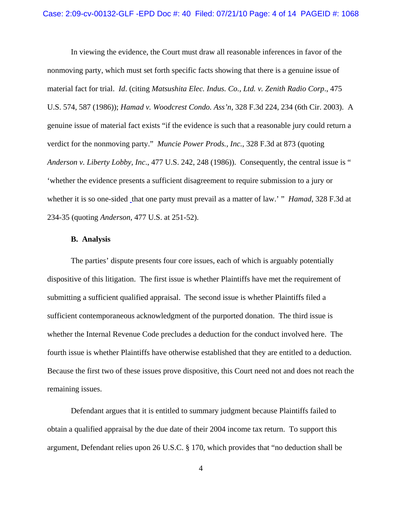In viewing the evidence, the Court must draw all reasonable inferences in favor of the nonmoving party, which must set forth specific facts showing that there is a genuine issue of material fact for trial. *Id*. (citing *Matsushita Elec. Indus. Co., Ltd. v. Zenith Radio Corp*., 475 U.S. 574, 587 (1986)); *Hamad v. Woodcrest Condo. Ass'n*, 328 F.3d 224, 234 (6th Cir. 2003). A genuine issue of material fact exists "if the evidence is such that a reasonable jury could return a verdict for the nonmoving party." *Muncie Power Prods., Inc.*, 328 F.3d at 873 (quoting *Anderson v. Liberty Lobby, Inc*., 477 U.S. 242, 248 (1986)). Consequently, the central issue is " 'whether the evidence presents a sufficient disagreement to require submission to a jury or whether it is so one-sided that one party must prevail as a matter of law.' " *Hamad*, 328 F.3d at 234-35 (quoting *Anderson*, 477 U.S. at 251-52).

## **B. Analysis**

The parties' dispute presents four core issues, each of which is arguably potentially dispositive of this litigation. The first issue is whether Plaintiffs have met the requirement of submitting a sufficient qualified appraisal. The second issue is whether Plaintiffs filed a sufficient contemporaneous acknowledgment of the purported donation. The third issue is whether the Internal Revenue Code precludes a deduction for the conduct involved here. The fourth issue is whether Plaintiffs have otherwise established that they are entitled to a deduction. Because the first two of these issues prove dispositive, this Court need not and does not reach the remaining issues.

Defendant argues that it is entitled to summary judgment because Plaintiffs failed to obtain a qualified appraisal by the due date of their 2004 income tax return. To support this argument, Defendant relies upon 26 U.S.C. § 170, which provides that "no deduction shall be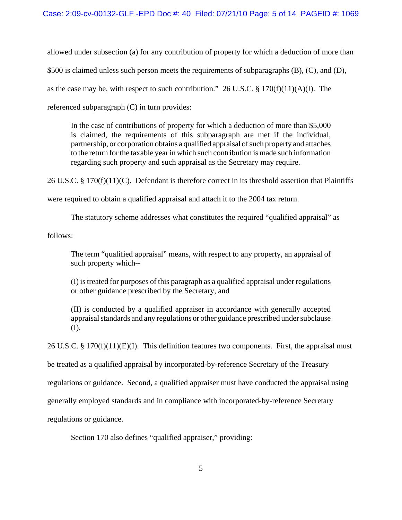allowed under subsection (a) for any contribution of property for which a deduction of more than

\$500 is claimed unless such person meets the requirements of subparagraphs (B), (C), and (D),

as the case may be, with respect to such contribution." 26 U.S.C.  $\S 170(f)(11)(A)(I)$ . The

referenced subparagraph (C) in turn provides:

In the case of contributions of property for which a deduction of more than \$5,000 is claimed, the requirements of this subparagraph are met if the individual, partnership, or corporation obtains a qualified appraisal of such property and attaches to the return for the taxable year in which such contribution is made such information regarding such property and such appraisal as the Secretary may require.

26 U.S.C. § 170(f)(11)(C). Defendant is therefore correct in its threshold assertion that Plaintiffs

were required to obtain a qualified appraisal and attach it to the 2004 tax return.

The statutory scheme addresses what constitutes the required "qualified appraisal" as

follows:

The term "qualified appraisal" means, with respect to any property, an appraisal of such property which--

(I) is treated for purposes of this paragraph as a qualified appraisal under regulations or other guidance prescribed by the Secretary, and

(II) is conducted by a qualified appraiser in accordance with generally accepted appraisal standards and any regulations or other guidance prescribed under subclause (I).

26 U.S.C. § 170(f)(11)(E)(I). This definition features two components. First, the appraisal must

be treated as a qualified appraisal by incorporated-by-reference Secretary of the Treasury

regulations or guidance. Second, a qualified appraiser must have conducted the appraisal using

generally employed standards and in compliance with incorporated-by-reference Secretary

regulations or guidance.

Section 170 also defines "qualified appraiser," providing: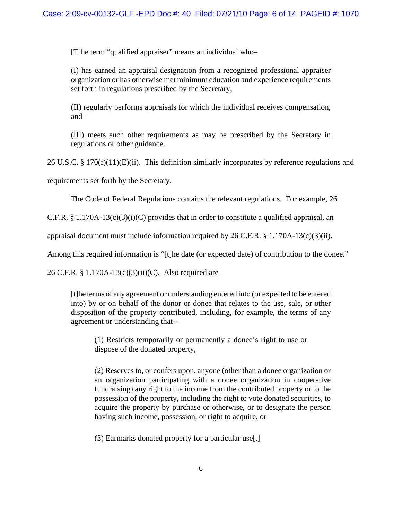[T]he term "qualified appraiser" means an individual who–

(I) has earned an appraisal designation from a recognized professional appraiser organization or has otherwise met minimum education and experience requirements set forth in regulations prescribed by the Secretary,

(II) regularly performs appraisals for which the individual receives compensation, and

(III) meets such other requirements as may be prescribed by the Secretary in regulations or other guidance.

26 U.S.C. § 170(f)(11)(E)(ii). This definition similarly incorporates by reference regulations and

requirements set forth by the Secretary.

The Code of Federal Regulations contains the relevant regulations. For example, 26

C.F.R. § 1.170A-13(c)(3)(i)(C) provides that in order to constitute a qualified appraisal, an

appraisal document must include information required by 26 C.F.R. § 1.170A-13(c)(3)(ii).

Among this required information is "[t]he date (or expected date) of contribution to the donee."

26 C.F.R. § 1.170A-13(c)(3)(ii)(C). Also required are

[t]he terms of any agreement or understanding entered into (or expected to be entered into) by or on behalf of the donor or donee that relates to the use, sale, or other disposition of the property contributed, including, for example, the terms of any agreement or understanding that--

(1) Restricts temporarily or permanently a donee's right to use or dispose of the donated property,

(2) Reserves to, or confers upon, anyone (other than a donee organization or an organization participating with a donee organization in cooperative fundraising) any right to the income from the contributed property or to the possession of the property, including the right to vote donated securities, to acquire the property by purchase or otherwise, or to designate the person having such income, possession, or right to acquire, or

(3) Earmarks donated property for a particular use[.]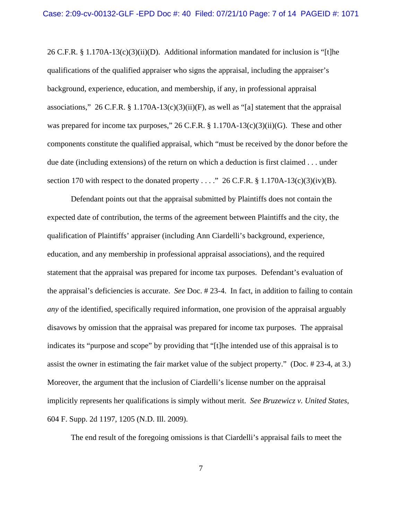26 C.F.R.  $\S 1.170A-13(c)(3)(ii)(D)$ . Additional information mandated for inclusion is "[t]he qualifications of the qualified appraiser who signs the appraisal, including the appraiser's background, experience, education, and membership, if any, in professional appraisal associations," 26 C.F.R. § 1.170A-13(c)(3)(ii)(F), as well as "[a] statement that the appraisal was prepared for income tax purposes," 26 C.F.R. § 1.170A-13(c)(3)(ii)(G). These and other components constitute the qualified appraisal, which "must be received by the donor before the due date (including extensions) of the return on which a deduction is first claimed . . . under section 170 with respect to the donated property . . . ." 26 C.F.R.  $\S 1.170A-13(c)(3)(iv)(B)$ .

Defendant points out that the appraisal submitted by Plaintiffs does not contain the expected date of contribution, the terms of the agreement between Plaintiffs and the city, the qualification of Plaintiffs' appraiser (including Ann Ciardelli's background, experience, education, and any membership in professional appraisal associations), and the required statement that the appraisal was prepared for income tax purposes. Defendant's evaluation of the appraisal's deficiencies is accurate. *See* Doc. # 23-4. In fact, in addition to failing to contain *any* of the identified, specifically required information, one provision of the appraisal arguably disavows by omission that the appraisal was prepared for income tax purposes. The appraisal indicates its "purpose and scope" by providing that "[t]he intended use of this appraisal is to assist the owner in estimating the fair market value of the subject property." (Doc. # 23-4, at 3.) Moreover, the argument that the inclusion of Ciardelli's license number on the appraisal implicitly represents her qualifications is simply without merit. *See Bruzewicz v. United States*, 604 F. Supp. 2d 1197, 1205 (N.D. Ill. 2009).

The end result of the foregoing omissions is that Ciardelli's appraisal fails to meet the

7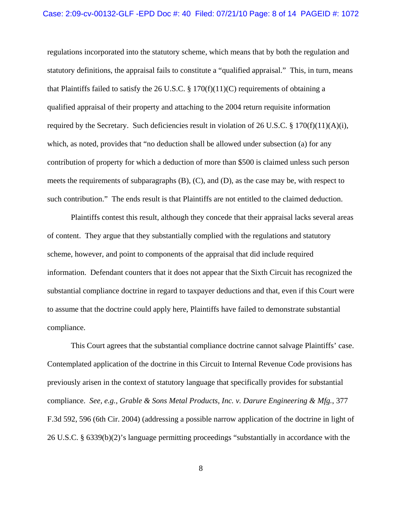### Case: 2:09-cv-00132-GLF -EPD Doc #: 40 Filed: 07/21/10 Page: 8 of 14 PAGEID #: 1072

regulations incorporated into the statutory scheme, which means that by both the regulation and statutory definitions, the appraisal fails to constitute a "qualified appraisal." This, in turn, means that Plaintiffs failed to satisfy the 26 U.S.C. § 170(f)(11)(C) requirements of obtaining a qualified appraisal of their property and attaching to the 2004 return requisite information required by the Secretary. Such deficiencies result in violation of 26 U.S.C. § 170(f)(11)(A)(i), which, as noted, provides that "no deduction shall be allowed under subsection (a) for any contribution of property for which a deduction of more than \$500 is claimed unless such person meets the requirements of subparagraphs (B), (C), and (D), as the case may be, with respect to such contribution." The ends result is that Plaintiffs are not entitled to the claimed deduction.

Plaintiffs contest this result, although they concede that their appraisal lacks several areas of content. They argue that they substantially complied with the regulations and statutory scheme, however, and point to components of the appraisal that did include required information. Defendant counters that it does not appear that the Sixth Circuit has recognized the substantial compliance doctrine in regard to taxpayer deductions and that, even if this Court were to assume that the doctrine could apply here, Plaintiffs have failed to demonstrate substantial compliance.

This Court agrees that the substantial compliance doctrine cannot salvage Plaintiffs' case. Contemplated application of the doctrine in this Circuit to Internal Revenue Code provisions has previously arisen in the context of statutory language that specifically provides for substantial compliance. *See, e.g., Grable & Sons Metal Products, Inc. v. Darure Engineering & Mfg.*, 377 F.3d 592, 596 (6th Cir. 2004) (addressing a possible narrow application of the doctrine in light of 26 U.S.C. § 6339(b)(2)'s language permitting proceedings "substantially in accordance with the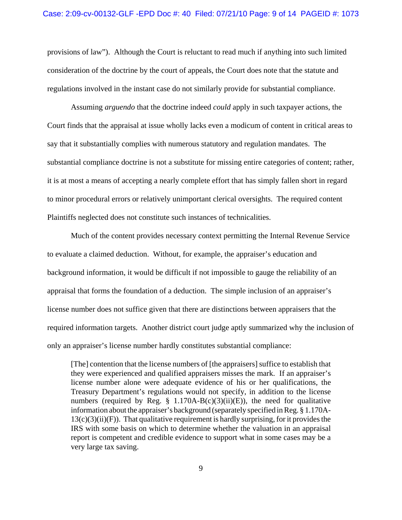provisions of law"). Although the Court is reluctant to read much if anything into such limited consideration of the doctrine by the court of appeals, the Court does note that the statute and regulations involved in the instant case do not similarly provide for substantial compliance.

Assuming *arguendo* that the doctrine indeed *could* apply in such taxpayer actions, the Court finds that the appraisal at issue wholly lacks even a modicum of content in critical areas to say that it substantially complies with numerous statutory and regulation mandates. The substantial compliance doctrine is not a substitute for missing entire categories of content; rather, it is at most a means of accepting a nearly complete effort that has simply fallen short in regard to minor procedural errors or relatively unimportant clerical oversights. The required content Plaintiffs neglected does not constitute such instances of technicalities.

Much of the content provides necessary context permitting the Internal Revenue Service to evaluate a claimed deduction. Without, for example, the appraiser's education and background information, it would be difficult if not impossible to gauge the reliability of an appraisal that forms the foundation of a deduction. The simple inclusion of an appraiser's license number does not suffice given that there are distinctions between appraisers that the required information targets. Another district court judge aptly summarized why the inclusion of only an appraiser's license number hardly constitutes substantial compliance:

[The] contention that the license numbers of [the appraisers] suffice to establish that they were experienced and qualified appraisers misses the mark. If an appraiser's license number alone were adequate evidence of his or her qualifications, the Treasury Department's regulations would not specify, in addition to the license numbers (required by Reg.  $\S$  1.170A-B(c)(3)(ii)(E)), the need for qualitative information about the appraiser's background (separately specified in Reg. § 1.170A- $13(c)(3)(ii)(F)$ . That qualitative requirement is hardly surprising, for it provides the IRS with some basis on which to determine whether the valuation in an appraisal report is competent and credible evidence to support what in some cases may be a very large tax saving.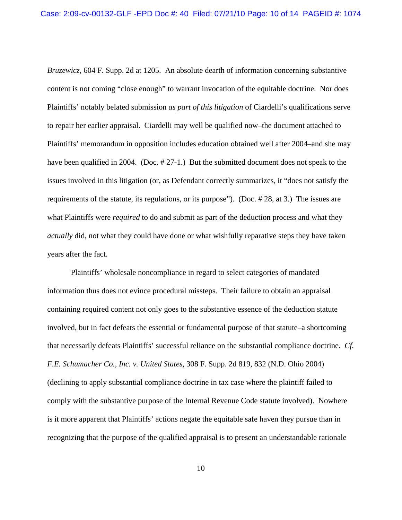*Bruzewicz*, 604 F. Supp. 2d at 1205. An absolute dearth of information concerning substantive content is not coming "close enough" to warrant invocation of the equitable doctrine. Nor does Plaintiffs' notably belated submission *as part of this litigation* of Ciardelli's qualifications serve to repair her earlier appraisal. Ciardelli may well be qualified now–the document attached to Plaintiffs' memorandum in opposition includes education obtained well after 2004–and she may have been qualified in 2004. (Doc. # 27-1.) But the submitted document does not speak to the issues involved in this litigation (or, as Defendant correctly summarizes, it "does not satisfy the requirements of the statute, its regulations, or its purpose"). (Doc. # 28, at 3.) The issues are what Plaintiffs were *required* to do and submit as part of the deduction process and what they *actually* did, not what they could have done or what wishfully reparative steps they have taken years after the fact.

Plaintiffs' wholesale noncompliance in regard to select categories of mandated information thus does not evince procedural missteps. Their failure to obtain an appraisal containing required content not only goes to the substantive essence of the deduction statute involved, but in fact defeats the essential or fundamental purpose of that statute–a shortcoming that necessarily defeats Plaintiffs' successful reliance on the substantial compliance doctrine. *Cf. F.E. Schumacher Co., Inc. v. United States*, 308 F. Supp. 2d 819, 832 (N.D. Ohio 2004) (declining to apply substantial compliance doctrine in tax case where the plaintiff failed to comply with the substantive purpose of the Internal Revenue Code statute involved). Nowhere is it more apparent that Plaintiffs' actions negate the equitable safe haven they pursue than in recognizing that the purpose of the qualified appraisal is to present an understandable rationale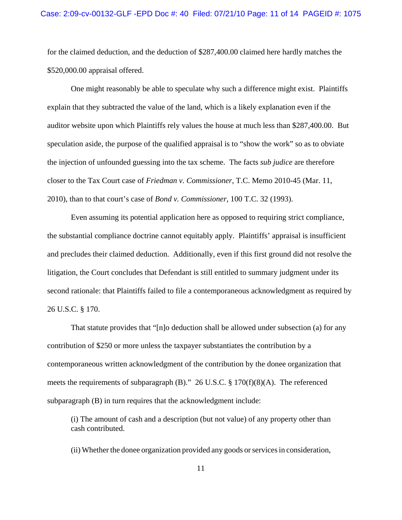#### Case: 2:09-cv-00132-GLF -EPD Doc #: 40 Filed: 07/21/10 Page: 11 of 14 PAGEID #: 1075

for the claimed deduction, and the deduction of \$287,400.00 claimed here hardly matches the \$520,000.00 appraisal offered.

One might reasonably be able to speculate why such a difference might exist. Plaintiffs explain that they subtracted the value of the land, which is a likely explanation even if the auditor website upon which Plaintiffs rely values the house at much less than \$287,400.00. But speculation aside, the purpose of the qualified appraisal is to "show the work" so as to obviate the injection of unfounded guessing into the tax scheme. The facts *sub judice* are therefore closer to the Tax Court case of *Friedman v. Commissioner*, T.C. Memo 2010-45 (Mar. 11, 2010), than to that court's case of *Bond v. Commissioner*, 100 T.C. 32 (1993).

Even assuming its potential application here as opposed to requiring strict compliance, the substantial compliance doctrine cannot equitably apply. Plaintiffs' appraisal is insufficient and precludes their claimed deduction. Additionally, even if this first ground did not resolve the litigation, the Court concludes that Defendant is still entitled to summary judgment under its second rationale: that Plaintiffs failed to file a contemporaneous acknowledgment as required by 26 U.S.C. § 170.

That statute provides that "[n]o deduction shall be allowed under subsection (a) for any contribution of \$250 or more unless the taxpayer substantiates the contribution by a contemporaneous written acknowledgment of the contribution by the donee organization that meets the requirements of subparagraph (B)." 26 U.S.C. § 170(f)(8)(A). The referenced subparagraph (B) in turn requires that the acknowledgment include:

(i) The amount of cash and a description (but not value) of any property other than cash contributed.

(ii) Whether the donee organization provided any goods or services in consideration,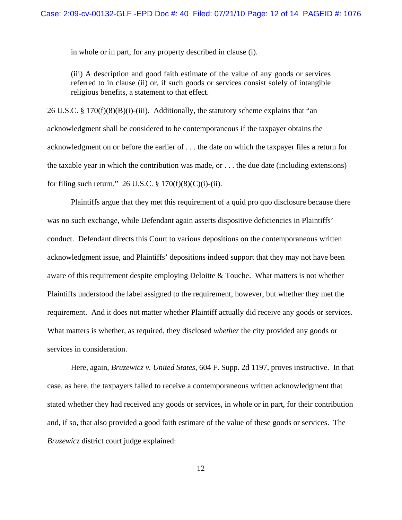in whole or in part, for any property described in clause (i).

(iii) A description and good faith estimate of the value of any goods or services referred to in clause (ii) or, if such goods or services consist solely of intangible religious benefits, a statement to that effect.

26 U.S.C. §  $170(f)(8)(B)(i)-(iii)$ . Additionally, the statutory scheme explains that "an acknowledgment shall be considered to be contemporaneous if the taxpayer obtains the acknowledgment on or before the earlier of . . . the date on which the taxpayer files a return for the taxable year in which the contribution was made, or . . . the due date (including extensions) for filing such return." 26 U.S.C.  $\S 170(f)(8)(C)(i)-(ii)$ .

Plaintiffs argue that they met this requirement of a quid pro quo disclosure because there was no such exchange, while Defendant again asserts dispositive deficiencies in Plaintiffs' conduct. Defendant directs this Court to various depositions on the contemporaneous written acknowledgment issue, and Plaintiffs' depositions indeed support that they may not have been aware of this requirement despite employing Deloitte & Touche. What matters is not whether Plaintiffs understood the label assigned to the requirement, however, but whether they met the requirement. And it does not matter whether Plaintiff actually did receive any goods or services. What matters is whether, as required, they disclosed *whether* the city provided any goods or services in consideration.

Here, again, *Bruzewicz v. United States*, 604 F. Supp. 2d 1197, proves instructive. In that case, as here, the taxpayers failed to receive a contemporaneous written acknowledgment that stated whether they had received any goods or services, in whole or in part, for their contribution and, if so, that also provided a good faith estimate of the value of these goods or services. The *Bruzewicz* district court judge explained: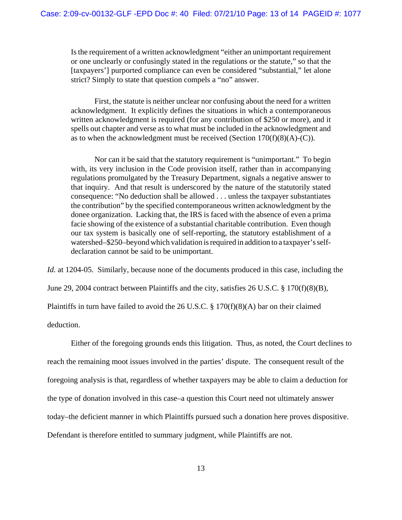Is the requirement of a written acknowledgment "either an unimportant requirement or one unclearly or confusingly stated in the regulations or the statute," so that the [taxpayers'] purported compliance can even be considered "substantial," let alone strict? Simply to state that question compels a "no" answer.

First, the statute is neither unclear nor confusing about the need for a written acknowledgment. It explicitly defines the situations in which a contemporaneous written acknowledgment is required (for any contribution of \$250 or more), and it spells out chapter and verse as to what must be included in the acknowledgment and as to when the acknowledgment must be received (Section  $170(f)(8)(A)-(C)$ ).

Nor can it be said that the statutory requirement is "unimportant." To begin with, its very inclusion in the Code provision itself, rather than in accompanying regulations promulgated by the Treasury Department, signals a negative answer to that inquiry. And that result is underscored by the nature of the statutorily stated consequence: "No deduction shall be allowed . . . unless the taxpayer substantiates the contribution" by the specified contemporaneous written acknowledgment by the donee organization. Lacking that, the IRS is faced with the absence of even a prima facie showing of the existence of a substantial charitable contribution. Even though our tax system is basically one of self-reporting, the statutory establishment of a watershed–\$250–beyond which validation is required in addition to a taxpayer's selfdeclaration cannot be said to be unimportant.

*Id.* at 1204-05. Similarly, because none of the documents produced in this case, including the June 29, 2004 contract between Plaintiffs and the city, satisfies 26 U.S.C. § 170(f)(8)(B), Plaintiffs in turn have failed to avoid the 26 U.S.C.  $\S 170(f)(8)(A)$  bar on their claimed deduction.

Either of the foregoing grounds ends this litigation. Thus, as noted, the Court declines to reach the remaining moot issues involved in the parties' dispute. The consequent result of the foregoing analysis is that, regardless of whether taxpayers may be able to claim a deduction for the type of donation involved in this case–a question this Court need not ultimately answer today–the deficient manner in which Plaintiffs pursued such a donation here proves dispositive. Defendant is therefore entitled to summary judgment, while Plaintiffs are not.